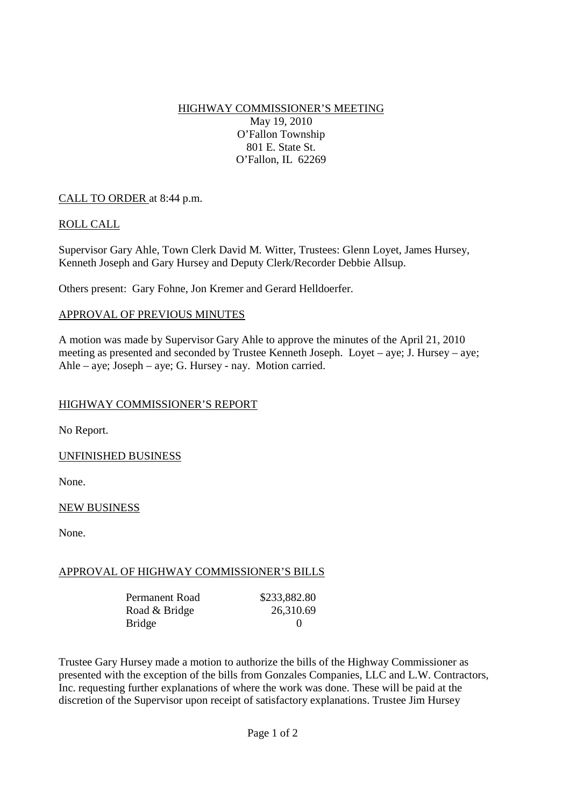HIGHWAY COMMISSIONER'S MEETING May 19, 2010 O'Fallon Township 801 E. State St. O'Fallon, IL 62269

## CALL TO ORDER at 8:44 p.m.

### ROLL CALL

Supervisor Gary Ahle, Town Clerk David M. Witter, Trustees: Glenn Loyet, James Hursey, Kenneth Joseph and Gary Hursey and Deputy Clerk/Recorder Debbie Allsup.

Others present: Gary Fohne, Jon Kremer and Gerard Helldoerfer.

#### APPROVAL OF PREVIOUS MINUTES

A motion was made by Supervisor Gary Ahle to approve the minutes of the April 21, 2010 meeting as presented and seconded by Trustee Kenneth Joseph. Loyet – aye; J. Hursey – aye; Ahle – aye; Joseph – aye; G. Hursey - nay. Motion carried.

#### HIGHWAY COMMISSIONER'S REPORT

No Report.

#### UNFINISHED BUSINESS

None.

#### NEW BUSINESS

None.

#### APPROVAL OF HIGHWAY COMMISSIONER'S BILLS

| Permanent Road | \$233,882.80     |
|----------------|------------------|
| Road & Bridge  | 26,310.69        |
| Bridge         | $\left( \right)$ |

Trustee Gary Hursey made a motion to authorize the bills of the Highway Commissioner as presented with the exception of the bills from Gonzales Companies, LLC and L.W. Contractors, Inc. requesting further explanations of where the work was done. These will be paid at the discretion of the Supervisor upon receipt of satisfactory explanations. Trustee Jim Hursey